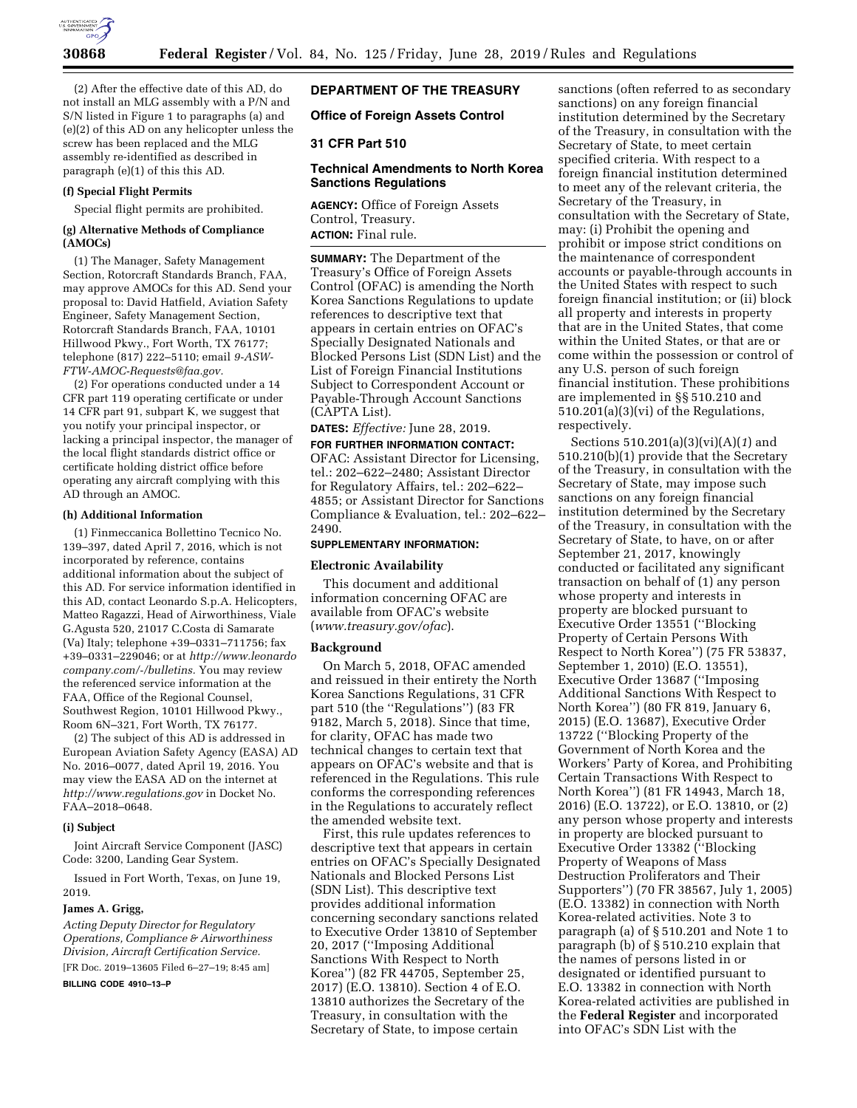

(2) After the effective date of this AD, do not install an MLG assembly with a P/N and S/N listed in Figure 1 to paragraphs (a) and (e)(2) of this AD on any helicopter unless the screw has been replaced and the MLG assembly re-identified as described in paragraph (e)(1) of this this AD.

### **(f) Special Flight Permits**

Special flight permits are prohibited.

### **(g) Alternative Methods of Compliance (AMOCs)**

(1) The Manager, Safety Management Section, Rotorcraft Standards Branch, FAA, may approve AMOCs for this AD. Send your proposal to: David Hatfield, Aviation Safety Engineer, Safety Management Section, Rotorcraft Standards Branch, FAA, 10101 Hillwood Pkwy., Fort Worth, TX 76177; telephone (817) 222–5110; email *[9-ASW-](mailto:9-ASW-FTW-AMOC-Requests@faa.gov)[FTW-AMOC-Requests@faa.gov.](mailto:9-ASW-FTW-AMOC-Requests@faa.gov)* 

(2) For operations conducted under a 14 CFR part 119 operating certificate or under 14 CFR part 91, subpart K, we suggest that you notify your principal inspector, or lacking a principal inspector, the manager of the local flight standards district office or certificate holding district office before operating any aircraft complying with this AD through an AMOC.

### **(h) Additional Information**

(1) Finmeccanica Bollettino Tecnico No. 139–397, dated April 7, 2016, which is not incorporated by reference, contains additional information about the subject of this AD. For service information identified in this AD, contact Leonardo S.p.A. Helicopters, Matteo Ragazzi, Head of Airworthiness, Viale G.Agusta 520, 21017 C.Costa di Samarate (Va) Italy; telephone +39–0331–711756; fax +39–0331–229046; or at *[http://www.leonardo](http://www.leonardocompany.com/-/bulletins) [company.com/-/bulletins.](http://www.leonardocompany.com/-/bulletins)* You may review the referenced service information at the FAA, Office of the Regional Counsel, Southwest Region, 10101 Hillwood Pkwy., Room 6N–321, Fort Worth, TX 76177.

(2) The subject of this AD is addressed in European Aviation Safety Agency (EASA) AD No. 2016–0077, dated April 19, 2016. You may view the EASA AD on the internet at *<http://www.regulations.gov>*in Docket No. FAA–2018–0648.

#### **(i) Subject**

Joint Aircraft Service Component (JASC) Code: 3200, Landing Gear System.

Issued in Fort Worth, Texas, on June 19, 2019.

### **James A. Grigg,**

*Acting Deputy Director for Regulatory Operations, Compliance & Airworthiness Division, Aircraft Certification Service.*  [FR Doc. 2019–13605 Filed 6–27–19; 8:45 am]

**BILLING CODE 4910–13–P** 

# **DEPARTMENT OF THE TREASURY**

**Office of Foreign Assets Control** 

### **31 CFR Part 510**

## **Technical Amendments to North Korea Sanctions Regulations**

**AGENCY:** Office of Foreign Assets Control, Treasury. **ACTION:** Final rule.

**SUMMARY:** The Department of the Treasury's Office of Foreign Assets Control (OFAC) is amending the North Korea Sanctions Regulations to update references to descriptive text that appears in certain entries on OFAC's Specially Designated Nationals and Blocked Persons List (SDN List) and the List of Foreign Financial Institutions Subject to Correspondent Account or Payable-Through Account Sanctions (CAPTA List).

**DATES:** *Effective:* June 28, 2019.

**FOR FURTHER INFORMATION CONTACT:**  OFAC: Assistant Director for Licensing, tel.: 202–622–2480; Assistant Director for Regulatory Affairs, tel.: 202–622– 4855; or Assistant Director for Sanctions Compliance & Evaluation, tel.: 202–622– 2490.

### **SUPPLEMENTARY INFORMATION:**

# **Electronic Availability**

This document and additional information concerning OFAC are available from OFAC's website (*[www.treasury.gov/ofac](http://www.treasury.gov/ofac)*).

### **Background**

On March 5, 2018, OFAC amended and reissued in their entirety the North Korea Sanctions Regulations, 31 CFR part 510 (the ''Regulations'') (83 FR 9182, March 5, 2018). Since that time, for clarity, OFAC has made two technical changes to certain text that appears on OFAC's website and that is referenced in the Regulations. This rule conforms the corresponding references in the Regulations to accurately reflect the amended website text.

First, this rule updates references to descriptive text that appears in certain entries on OFAC's Specially Designated Nationals and Blocked Persons List (SDN List). This descriptive text provides additional information concerning secondary sanctions related to Executive Order 13810 of September 20, 2017 (''Imposing Additional Sanctions With Respect to North Korea'') (82 FR 44705, September 25, 2017) (E.O. 13810). Section 4 of E.O. 13810 authorizes the Secretary of the Treasury, in consultation with the Secretary of State, to impose certain

sanctions (often referred to as secondary sanctions) on any foreign financial institution determined by the Secretary of the Treasury, in consultation with the Secretary of State, to meet certain specified criteria. With respect to a foreign financial institution determined to meet any of the relevant criteria, the Secretary of the Treasury, in consultation with the Secretary of State, may: (i) Prohibit the opening and prohibit or impose strict conditions on the maintenance of correspondent accounts or payable-through accounts in the United States with respect to such foreign financial institution; or (ii) block all property and interests in property that are in the United States, that come within the United States, or that are or come within the possession or control of any U.S. person of such foreign financial institution. These prohibitions are implemented in §§ 510.210 and 510.201(a)(3)(vi) of the Regulations, respectively.

Sections 510.201(a)(3)(vi)(A)(*1*) and 510.210(b)(1) provide that the Secretary of the Treasury, in consultation with the Secretary of State, may impose such sanctions on any foreign financial institution determined by the Secretary of the Treasury, in consultation with the Secretary of State, to have, on or after September 21, 2017, knowingly conducted or facilitated any significant transaction on behalf of (1) any person whose property and interests in property are blocked pursuant to Executive Order 13551 (''Blocking Property of Certain Persons With Respect to North Korea'') (75 FR 53837, September 1, 2010) (E.O. 13551), Executive Order 13687 (''Imposing Additional Sanctions With Respect to North Korea'') (80 FR 819, January 6, 2015) (E.O. 13687), Executive Order 13722 (''Blocking Property of the Government of North Korea and the Workers' Party of Korea, and Prohibiting Certain Transactions With Respect to North Korea'') (81 FR 14943, March 18, 2016) (E.O. 13722), or E.O. 13810, or (2) any person whose property and interests in property are blocked pursuant to Executive Order 13382 (''Blocking Property of Weapons of Mass Destruction Proliferators and Their Supporters'') (70 FR 38567, July 1, 2005) (E.O. 13382) in connection with North Korea-related activities. Note 3 to paragraph (a) of § 510.201 and Note 1 to paragraph (b) of § 510.210 explain that the names of persons listed in or designated or identified pursuant to E.O. 13382 in connection with North Korea-related activities are published in the **Federal Register** and incorporated into OFAC's SDN List with the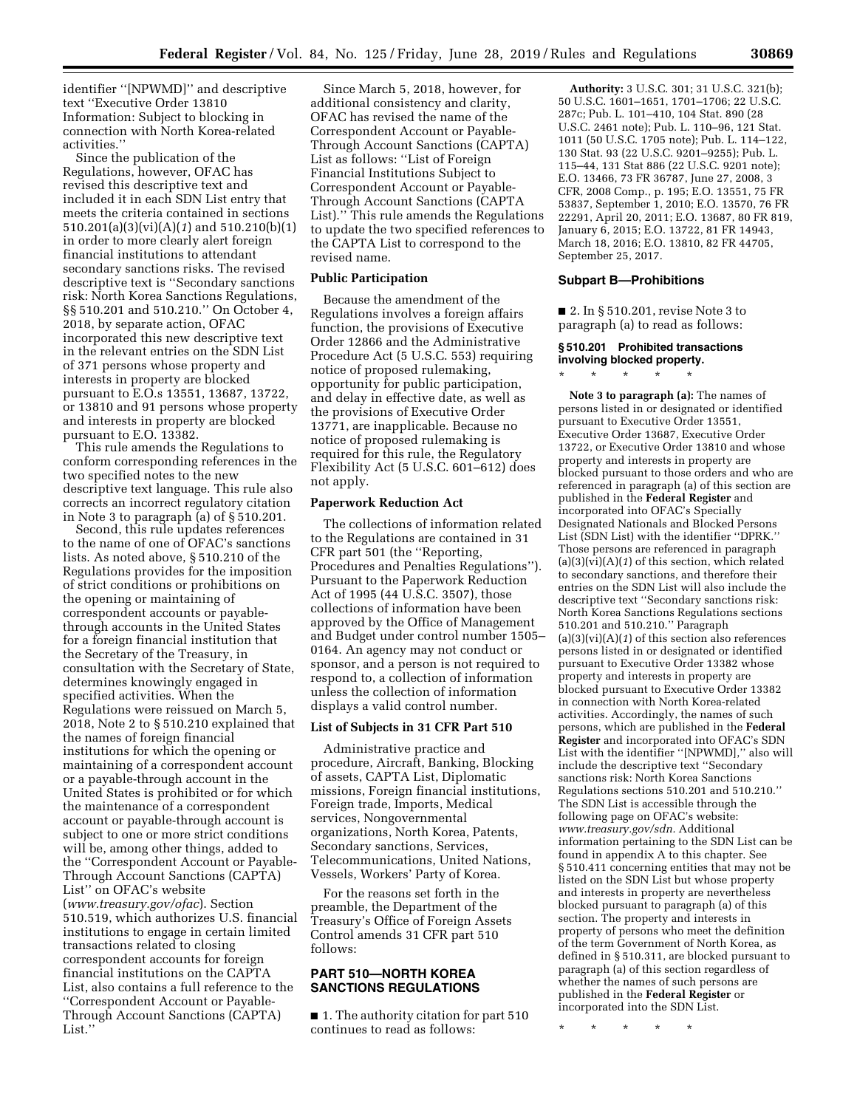identifier ''[NPWMD]'' and descriptive text ''Executive Order 13810 Information: Subject to blocking in connection with North Korea-related activities.''

Since the publication of the Regulations, however, OFAC has revised this descriptive text and included it in each SDN List entry that meets the criteria contained in sections 510.201(a)(3)(vi)(A)(*1*) and 510.210(b)(1) in order to more clearly alert foreign financial institutions to attendant secondary sanctions risks. The revised descriptive text is ''Secondary sanctions risk: North Korea Sanctions Regulations, §§ 510.201 and 510.210.'' On October 4, 2018, by separate action, OFAC incorporated this new descriptive text in the relevant entries on the SDN List of 371 persons whose property and interests in property are blocked pursuant to E.O.s 13551, 13687, 13722, or 13810 and 91 persons whose property and interests in property are blocked pursuant to E.O. 13382.

This rule amends the Regulations to conform corresponding references in the two specified notes to the new descriptive text language. This rule also corrects an incorrect regulatory citation in Note 3 to paragraph (a) of § 510.201.

Second, this rule updates references to the name of one of OFAC's sanctions lists. As noted above, § 510.210 of the Regulations provides for the imposition of strict conditions or prohibitions on the opening or maintaining of correspondent accounts or payablethrough accounts in the United States for a foreign financial institution that the Secretary of the Treasury, in consultation with the Secretary of State, determines knowingly engaged in specified activities. When the Regulations were reissued on March 5, 2018, Note 2 to § 510.210 explained that the names of foreign financial institutions for which the opening or maintaining of a correspondent account or a payable-through account in the United States is prohibited or for which the maintenance of a correspondent account or payable-through account is subject to one or more strict conditions will be, among other things, added to the ''Correspondent Account or Payable-Through Account Sanctions (CAPTA) List'' on OFAC's website (*[www.treasury.gov/ofac](http://www.treasury.gov/ofac)*). Section 510.519, which authorizes U.S. financial institutions to engage in certain limited transactions related to closing correspondent accounts for foreign financial institutions on the CAPTA List, also contains a full reference to the ''Correspondent Account or Payable-Through Account Sanctions (CAPTA) List.''

Since March 5, 2018, however, for additional consistency and clarity, OFAC has revised the name of the Correspondent Account or Payable-Through Account Sanctions (CAPTA) List as follows: ''List of Foreign Financial Institutions Subject to Correspondent Account or Payable-Through Account Sanctions (CAPTA List).'' This rule amends the Regulations to update the two specified references to the CAPTA List to correspond to the revised name.

### **Public Participation**

Because the amendment of the Regulations involves a foreign affairs function, the provisions of Executive Order 12866 and the Administrative Procedure Act (5 U.S.C. 553) requiring notice of proposed rulemaking, opportunity for public participation, and delay in effective date, as well as the provisions of Executive Order 13771, are inapplicable. Because no notice of proposed rulemaking is required for this rule, the Regulatory Flexibility Act (5 U.S.C. 601–612) does not apply.

### **Paperwork Reduction Act**

The collections of information related to the Regulations are contained in 31 CFR part 501 (the ''Reporting, Procedures and Penalties Regulations''). Pursuant to the Paperwork Reduction Act of 1995 (44 U.S.C. 3507), those collections of information have been approved by the Office of Management and Budget under control number 1505– 0164. An agency may not conduct or sponsor, and a person is not required to respond to, a collection of information unless the collection of information displays a valid control number.

### **List of Subjects in 31 CFR Part 510**

Administrative practice and procedure, Aircraft, Banking, Blocking of assets, CAPTA List, Diplomatic missions, Foreign financial institutions, Foreign trade, Imports, Medical services, Nongovernmental organizations, North Korea, Patents, Secondary sanctions, Services, Telecommunications, United Nations, Vessels, Workers' Party of Korea.

For the reasons set forth in the preamble, the Department of the Treasury's Office of Foreign Assets Control amends 31 CFR part 510 follows:

### **PART 510—NORTH KOREA SANCTIONS REGULATIONS**

■ 1. The authority citation for part 510 continues to read as follows:

**Authority:** 3 U.S.C. 301; 31 U.S.C. 321(b); 50 U.S.C. 1601–1651, 1701–1706; 22 U.S.C. 287c; Pub. L. 101–410, 104 Stat. 890 (28 U.S.C. 2461 note); Pub. L. 110–96, 121 Stat. 1011 (50 U.S.C. 1705 note); Pub. L. 114–122, 130 Stat. 93 (22 U.S.C. 9201–9255); Pub. L. 115–44, 131 Stat 886 (22 U.S.C. 9201 note); E.O. 13466, 73 FR 36787, June 27, 2008, 3 CFR, 2008 Comp., p. 195; E.O. 13551, 75 FR 53837, September 1, 2010; E.O. 13570, 76 FR 22291, April 20, 2011; E.O. 13687, 80 FR 819, January 6, 2015; E.O. 13722, 81 FR 14943, March 18, 2016; E.O. 13810, 82 FR 44705, September 25, 2017.

### **Subpart B—Prohibitions**

■ 2. In § 510.201, revise Note 3 to paragraph (a) to read as follows:

## **§ 510.201 Prohibited transactions involving blocked property.**

\* \* \* \* \*

**Note 3 to paragraph (a):** The names of persons listed in or designated or identified pursuant to Executive Order 13551, Executive Order 13687, Executive Order 13722, or Executive Order 13810 and whose property and interests in property are blocked pursuant to those orders and who are referenced in paragraph (a) of this section are published in the **Federal Register** and incorporated into OFAC's Specially Designated Nationals and Blocked Persons List (SDN List) with the identifier ''DPRK.'' Those persons are referenced in paragraph  $(a)(3)(\overline{vi})(A)(1)$  of this section, which related to secondary sanctions, and therefore their entries on the SDN List will also include the descriptive text ''Secondary sanctions risk: North Korea Sanctions Regulations sections 510.201 and 510.210.'' Paragraph  $(a)(3)(vi)(A)(1)$  of this section also references persons listed in or designated or identified pursuant to Executive Order 13382 whose property and interests in property are blocked pursuant to Executive Order 13382 in connection with North Korea-related activities. Accordingly, the names of such persons, which are published in the **Federal Register** and incorporated into OFAC's SDN List with the identifier ''[NPWMD],'' also will include the descriptive text ''Secondary sanctions risk: North Korea Sanctions Regulations sections 510.201 and 510.210.'' The SDN List is accessible through the following page on OFAC's website: *[www.treasury.gov/sdn.](http://www.treasury.gov/sdn)* Additional information pertaining to the SDN List can be found in appendix A to this chapter. See § 510.411 concerning entities that may not be listed on the SDN List but whose property and interests in property are nevertheless blocked pursuant to paragraph (a) of this section. The property and interests in property of persons who meet the definition of the term Government of North Korea, as defined in § 510.311, are blocked pursuant to paragraph (a) of this section regardless of whether the names of such persons are published in the **Federal Register** or incorporated into the SDN List.

\* \* \* \* \*